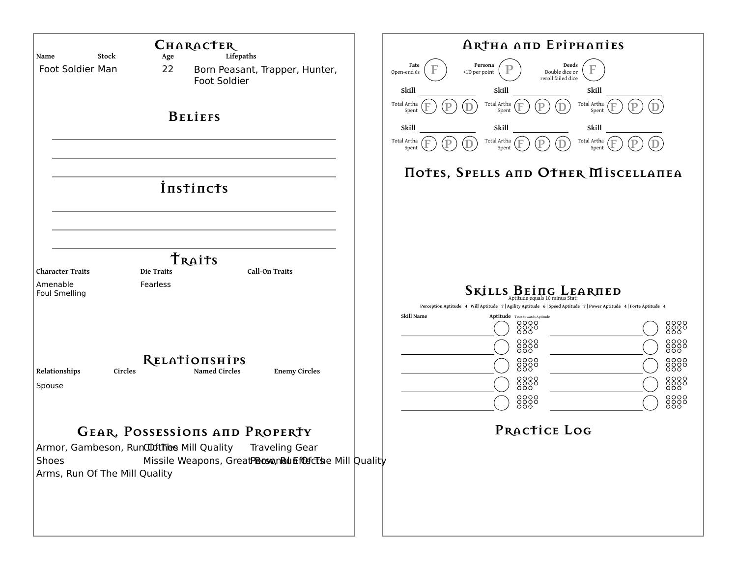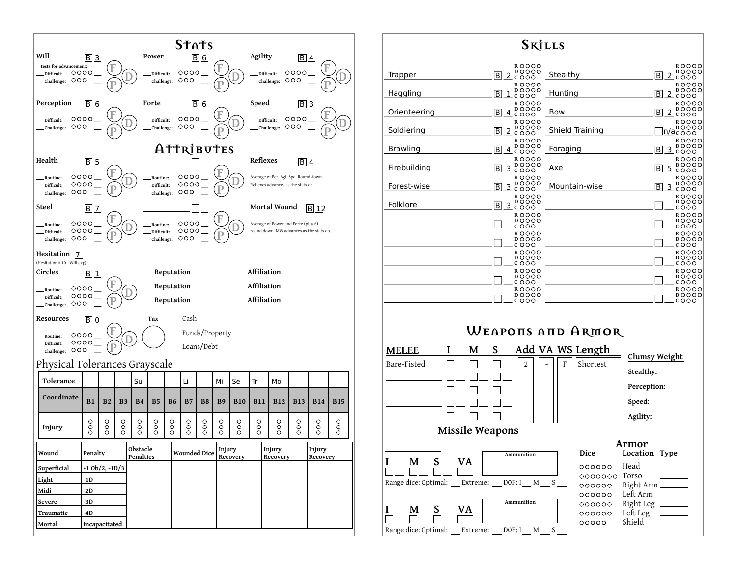

| SKILLS          |                                                           |                 |                                                          |
|-----------------|-----------------------------------------------------------|-----------------|----------------------------------------------------------|
| Trapper         | ROOOO<br><b>DOOOO</b><br><u>2</u> čŏŏō<br>lB.             | Stealthy        | R0000<br><b>DOOOO</b><br>B<br><u>2</u> čŏŏo              |
| Haggling        | ROOOO<br><b>DOOOO</b><br>B<br>$\mathbf{1}$<br>COOO        | Hunting         | ROOOO<br><b>DOOOO</b><br>$\overline{B}$<br><u>2</u> čŏŏo |
| Orienteering    | <b>ROOOO</b><br>DOOOO<br>lBl<br><u>4</u> čooo             | Bow             | <b>ROOOO</b><br><b>DOOOO</b><br><u>2 ť</u> ŏŏŏ<br>B      |
| Soldiering      | ROOOO<br><b>DOOOO</b><br>B<br><u>2</u> čŏòo               | Shield Training | <b>ROOOO</b><br>DOOOO<br>n/acooo                         |
| <b>Brawling</b> | <b>ROOOO</b><br><b>DOOOO</b><br>$\overline{B}$<br>4 c 000 | Foraging        | <b>ROOOO</b><br><b>DOOOO</b><br> B <br><u>3</u> čŏŏò     |
| Firebuilding    | <b>ROOOO</b><br><b>DOOOO</b><br>3<br>B<br>$c$ OOO         | Axe             | ROOOO<br><b>DOOOO</b><br>5<br>B<br>COOO                  |
| Forest-wise     | R OOOO<br><b>DOOOO</b><br>$2\zeta\delta\delta$ o<br>B     | Mountain-wise   | ROOOO<br><b>DOOOO</b><br><u>3 දීර්ර</u> ්<br>B           |
| Folklore        | ROOOO<br><b>DOOOO</b><br>B<br>3<br>COOO                   |                 | ROOOO<br><b>DOOOO</b><br>COOO                            |
|                 | <b>ROOOO</b><br><b>DOOOO</b><br>COOO                      |                 | ROOOO<br><b>DOOOO</b><br>COOO                            |
|                 | ROOOO<br>DOOOO<br>COOO                                    |                 | ROOOO<br>DOOOO<br>COOO                                   |
|                 | ROOOO<br><b>DOOOO</b><br>COOO                             |                 | ROOOO<br><b>DOOOO</b><br>COOO                            |
|                 | ROOOO<br>DOOOO<br>COOO                                    |                 | ROOOO<br><b>DOOOO</b><br>COOO                            |
|                 | ROOOO<br>DOOOO<br>COOO                                    |                 | ROOOO<br>DOOOO<br>COOO                                   |

 $\mathbf{S}$ 

## **Weapons and Armor**